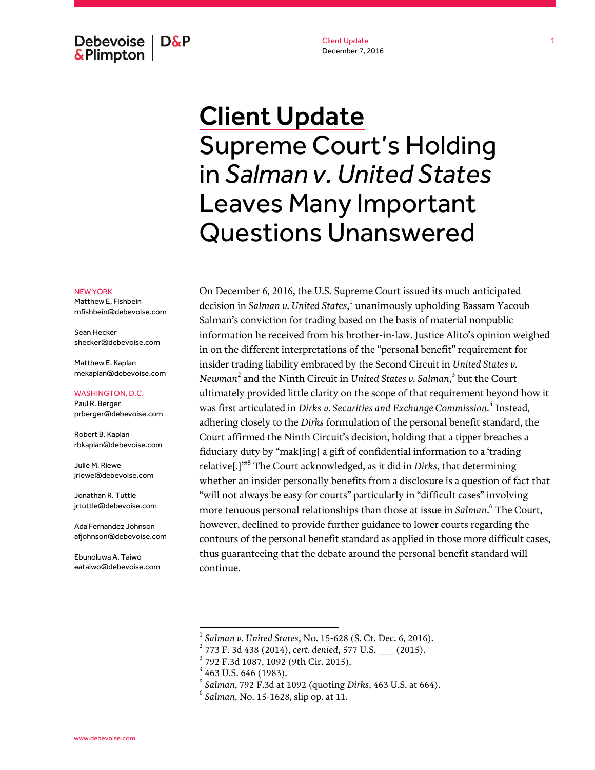Debevoise | D&P **&Plimpton** 

Client Update December 7, 2016

# Client Update Supreme Court's Holding in *Salman v. United States* Leaves Many Important Questions Unanswered

#### NEW YORK

Matthew E. Fishbein mfishbein@debevoise.com

Sean Hecker shecker@debevoise.com

Matthew F. Kaplan mekaplan@debevoise.com

WASHINGTON, D.C.

Paul R. Berger prberger@debevoise.com

Robert B. Kaplan rbkaplan@debevoise.com

Julie M. Riewe jriewe@debevoise.com

Jonathan R. Tuttle jrtuttle@debevoise.com

Ada Fernandez Johnson afjohnson@debevoise.com

Ebunoluwa A. Taiwo eataiwo@debevoise.com On December 6, 2016, the U.S. Supreme Court issued its much anticipated decision in *Salman v. United States*, 1 unanimously upholding Bassam Yacoub Salman's conviction for trading based on the basis of material nonpublic information he received from his brother-in-law. Justice Alito's opinion weighed in on the different interpretations of the "personal benefit" requirement for insider trading liability embraced by the Second Circuit in *United States v. Newman*<sup>2</sup> and the Ninth Circuit in *United States v. Salman*, 3 but the Court ultimately provided little clarity on the scope of that requirement beyond how it was first articulated in *Dirks v. Securities and Exchange Commission.* 4 Instead, adhering closely to the *Dirks* formulation of the personal benefit standard, the Court affirmed the Ninth Circuit's decision, holding that a tipper breaches a fiduciary duty by "mak[ing] a gift of confidential information to a 'trading relative[.]'" 5 The Court acknowledged, as it did in *Dirks*, that determining whether an insider personally benefits from a disclosure is a question of fact that "will not always be easy for courts" particularly in "difficult cases" involving more tenuous personal relationships than those at issue in *Salman*. 6 The Court, however, declined to provide further guidance to lower courts regarding the contours of the personal benefit standard as applied in those more difficult cases, thus guaranteeing that the debate around the personal benefit standard will continue.

<sup>1</sup> *Salman v. United States*, No. 15-628 (S. Ct. Dec. 6, 2016).

<sup>2</sup> 773 F. 3d 438 (2014), *cert. denied*, 577 U.S. \_\_\_ (2015).

<sup>3</sup> 792 F.3d 1087, 1092 (9th Cir. 2015).

 $4$  463 U.S. 646 (1983).

<sup>5</sup> *Salman*, 792 F.3d at 1092 (quoting *Dirks*, 463 U.S. at 664).

<sup>6</sup> *Salman*, No. 15-1628, slip op. at 11.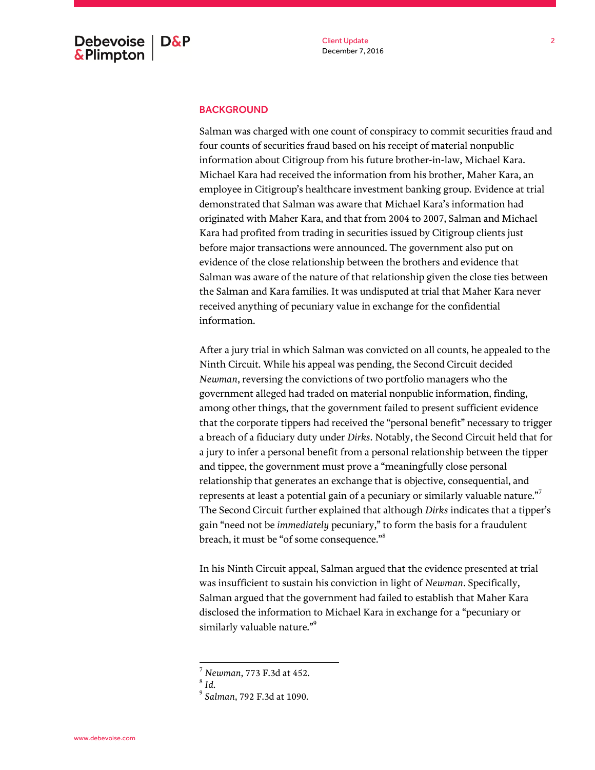### **BACKGROUND**

Salman was charged with one count of conspiracy to commit securities fraud and four counts of securities fraud based on his receipt of material nonpublic information about Citigroup from his future brother-in-law, Michael Kara. Michael Kara had received the information from his brother, Maher Kara, an employee in Citigroup's healthcare investment banking group. Evidence at trial demonstrated that Salman was aware that Michael Kara's information had originated with Maher Kara, and that from 2004 to 2007, Salman and Michael Kara had profited from trading in securities issued by Citigroup clients just before major transactions were announced. The government also put on evidence of the close relationship between the brothers and evidence that Salman was aware of the nature of that relationship given the close ties between the Salman and Kara families. It was undisputed at trial that Maher Kara never received anything of pecuniary value in exchange for the confidential information.

After a jury trial in which Salman was convicted on all counts, he appealed to the Ninth Circuit. While his appeal was pending, the Second Circuit decided *Newman*, reversing the convictions of two portfolio managers who the government alleged had traded on material nonpublic information, finding, among other things, that the government failed to present sufficient evidence that the corporate tippers had received the "personal benefit" necessary to trigger a breach of a fiduciary duty under *Dirks*. Notably, the Second Circuit held that for a jury to infer a personal benefit from a personal relationship between the tipper and tippee, the government must prove a "meaningfully close personal relationship that generates an exchange that is objective, consequential, and represents at least a potential gain of a pecuniary or similarly valuable nature."<sup>7</sup> The Second Circuit further explained that although *Dirks* indicates that a tipper's gain "need not be *immediately* pecuniary," to form the basis for a fraudulent breach, it must be "of some consequence."<sup>8</sup>

In his Ninth Circuit appeal, Salman argued that the evidence presented at trial was insufficient to sustain his conviction in light of *Newman*. Specifically, Salman argued that the government had failed to establish that Maher Kara disclosed the information to Michael Kara in exchange for a "pecuniary or similarly valuable nature."<sup>9</sup>

<sup>7</sup> *Newman*, 773 F.3d at 452.

<sup>8</sup> *Id.*

<sup>9</sup> *Salman*, 792 F.3d at 1090.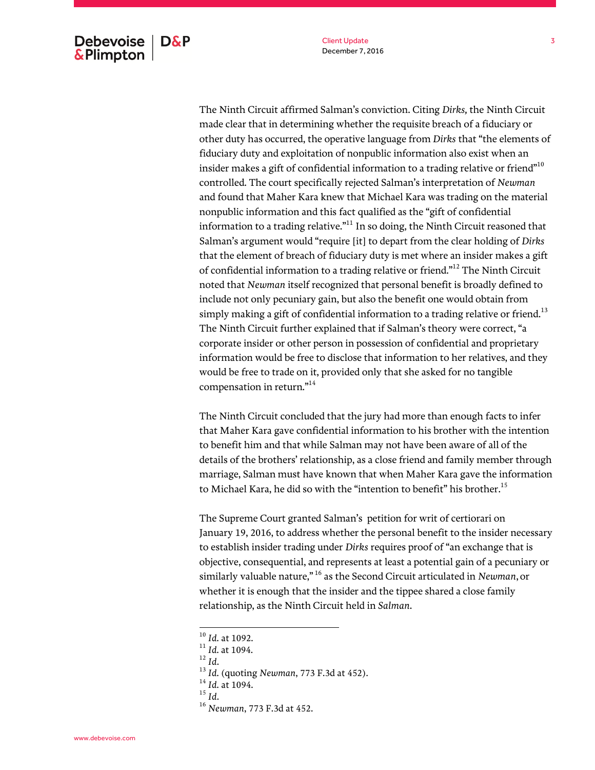The Ninth Circuit affirmed Salman's conviction. Citing *Dirks,* the Ninth Circuit made clear that in determining whether the requisite breach of a fiduciary or other duty has occurred, the operative language from *Dirks* that "the elements of fiduciary duty and exploitation of nonpublic information also exist when an insider makes a gift of confidential information to a trading relative or friend $^{\text{m10}}$ controlled. The court specifically rejected Salman's interpretation of *Newman*  and found that Maher Kara knew that Michael Kara was trading on the material nonpublic information and this fact qualified as the "gift of confidential information to a trading relative. $n<sup>11</sup>$  In so doing, the Ninth Circuit reasoned that Salman's argument would "require [it] to depart from the clear holding of *Dirks* that the element of breach of fiduciary duty is met where an insider makes a gift of confidential information to a trading relative or friend."<sup>12</sup> The Ninth Circuit noted that *Newman* itself recognized that personal benefit is broadly defined to include not only pecuniary gain, but also the benefit one would obtain from simply making a gift of confidential information to a trading relative or friend.<sup>13</sup> The Ninth Circuit further explained that if Salman's theory were correct, "a corporate insider or other person in possession of confidential and proprietary information would be free to disclose that information to her relatives, and they would be free to trade on it, provided only that she asked for no tangible compensation in return."<sup>14</sup>

The Ninth Circuit concluded that the jury had more than enough facts to infer that Maher Kara gave confidential information to his brother with the intention to benefit him and that while Salman may not have been aware of all of the details of the brothers' relationship, as a close friend and family member through marriage, Salman must have known that when Maher Kara gave the information to Michael Kara, he did so with the "intention to benefit" his brother.<sup>15</sup>

The Supreme Court granted Salman's petition for writ of certiorari on January 19, 2016, to address whether the personal benefit to the insider necessary to establish insider trading under *Dirks* requires proof of "an exchange that is objective, consequential, and represents at least a potential gain of a pecuniary or similarly valuable nature," <sup>16</sup> as the Second Circuit articulated in *Newman*, or whether it is enough that the insider and the tippee shared a close family relationship, as the Ninth Circuit held in *Salman*.

 $\overline{a}$ 

<sup>15</sup> *Id*.

<sup>10</sup> *Id.* at 1092.

<sup>11</sup> *Id.* at 1094.

 $\int_{12}^{12}$  *Id.* 

<sup>13</sup> *Id.* (quoting *Newman*, 773 F.3d at 452).

<sup>14</sup> *Id.* at 1094.

<sup>16</sup> *Newman*, 773 F.3d at 452.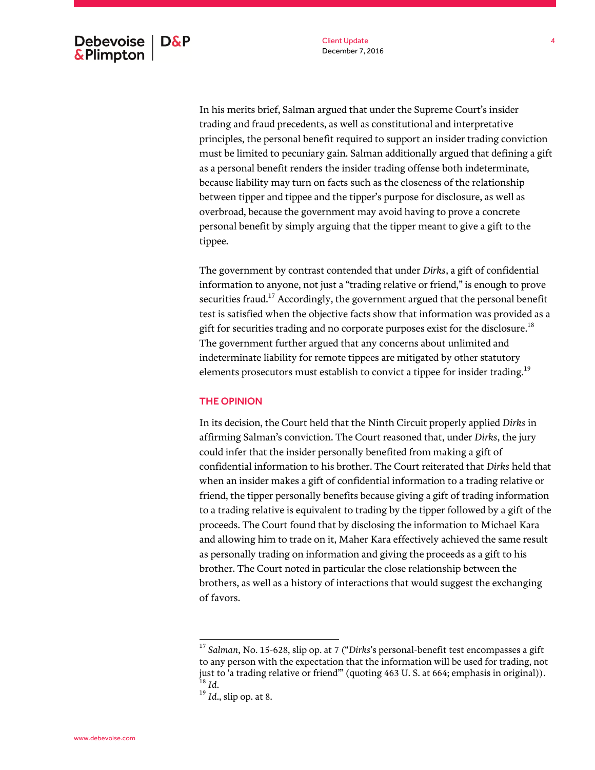In his merits brief, Salman argued that under the Supreme Court's insider trading and fraud precedents, as well as constitutional and interpretative principles, the personal benefit required to support an insider trading conviction must be limited to pecuniary gain. Salman additionally argued that defining a gift as a personal benefit renders the insider trading offense both indeterminate, because liability may turn on facts such as the closeness of the relationship between tipper and tippee and the tipper's purpose for disclosure, as well as overbroad, because the government may avoid having to prove a concrete personal benefit by simply arguing that the tipper meant to give a gift to the tippee.

The government by contrast contended that under *Dirks*, a gift of confidential information to anyone, not just a "trading relative or friend," is enough to prove securities fraud.<sup>17</sup> Accordingly, the government argued that the personal benefit test is satisfied when the objective facts show that information was provided as a gift for securities trading and no corporate purposes exist for the disclosure. $^{18}$ The government further argued that any concerns about unlimited and indeterminate liability for remote tippees are mitigated by other statutory elements prosecutors must establish to convict a tippee for insider trading.<sup>19</sup>

## THE OPINION

In its decision, the Court held that the Ninth Circuit properly applied *Dirks* in affirming Salman's conviction. The Court reasoned that, under *Dirks*, the jury could infer that the insider personally benefited from making a gift of confidential information to his brother. The Court reiterated that *Dirks* held that when an insider makes a gift of confidential information to a trading relative or friend, the tipper personally benefits because giving a gift of trading information to a trading relative is equivalent to trading by the tipper followed by a gift of the proceeds. The Court found that by disclosing the information to Michael Kara and allowing him to trade on it, Maher Kara effectively achieved the same result as personally trading on information and giving the proceeds as a gift to his brother. The Court noted in particular the close relationship between the brothers, as well as a history of interactions that would suggest the exchanging of favors.

<sup>17</sup> *Salman*, No. 15-628, slip op. at 7 ("*Dirks*'s personal-benefit test encompasses a gift to any person with the expectation that the information will be used for trading, not just to 'a trading relative or friend'" (quoting 463 U. S. at 664; emphasis in original)).  $^{18}$  *Id.* 

<sup>19</sup> *Id*., slip op. at 8.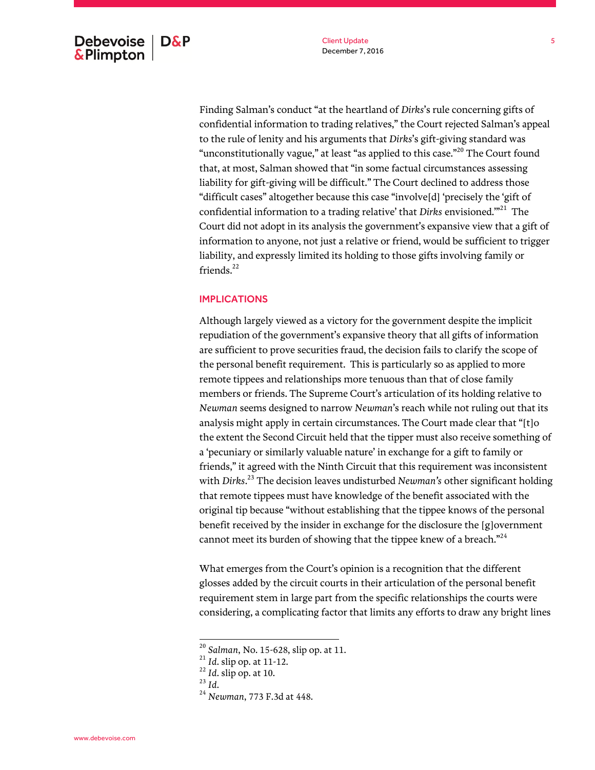Finding Salman's conduct "at the heartland of *Dirks*'s rule concerning gifts of confidential information to trading relatives," the Court rejected Salman's appeal to the rule of lenity and his arguments that *Dirks*'s gift-giving standard was "unconstitutionally vague," at least "as applied to this case."<sup>20</sup> The Court found that, at most, Salman showed that "in some factual circumstances assessing liability for gift-giving will be difficult." The Court declined to address those "difficult cases" altogether because this case "involve[d] 'precisely the 'gift of confidential information to a trading relative' that *Dirks* envisioned."<sup>21</sup> The Court did not adopt in its analysis the government's expansive view that a gift of information to anyone, not just a relative or friend, would be sufficient to trigger liability, and expressly limited its holding to those gifts involving family or friends. $^{22}$ 

# IMPLICATIONS

Although largely viewed as a victory for the government despite the implicit repudiation of the government's expansive theory that all gifts of information are sufficient to prove securities fraud, the decision fails to clarify the scope of the personal benefit requirement. This is particularly so as applied to more remote tippees and relationships more tenuous than that of close family members or friends. The Supreme Court's articulation of its holding relative to *Newman* seems designed to narrow *Newman*'s reach while not ruling out that its analysis might apply in certain circumstances. The Court made clear that "[t]o the extent the Second Circuit held that the tipper must also receive something of a 'pecuniary or similarly valuable nature' in exchange for a gift to family or friends," it agreed with the Ninth Circuit that this requirement was inconsistent with *Dirks*. <sup>23</sup> The decision leaves undisturbed *Newman's* other significant holding that remote tippees must have knowledge of the benefit associated with the original tip because "without establishing that the tippee knows of the personal benefit received by the insider in exchange for the disclosure the [g]overnment cannot meet its burden of showing that the tippee knew of a breach."<sup>24</sup>

What emerges from the Court's opinion is a recognition that the different glosses added by the circuit courts in their articulation of the personal benefit requirement stem in large part from the specific relationships the courts were considering, a complicating factor that limits any efforts to draw any bright lines

<sup>20</sup> *Salman*, No. 15-628, slip op. at 11.

<sup>21</sup> *Id*. slip op. at 11-12.

<sup>22</sup> *Id*. slip op. at 10.

<sup>23</sup> *Id*.

<sup>24</sup> *Newman*, 773 F.3d at 448.